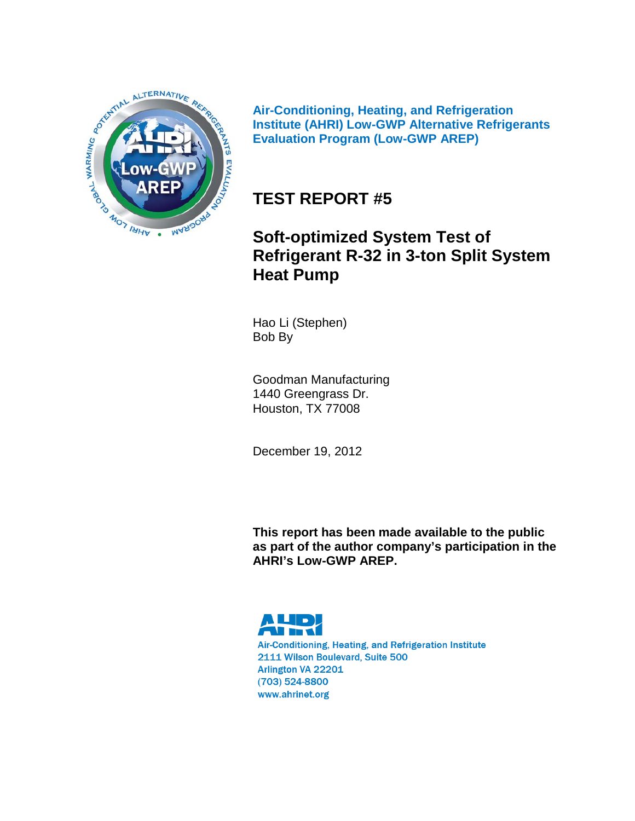

**Air-Conditioning, Heating, and Refrigeration Institute (AHRI) Low-GWP Alternative Refrigerants Evaluation Program (Low-GWP AREP)**

# **TEST REPORT #5**

# **Soft-optimized System Test of Refrigerant R-32 in 3-ton Split System Heat Pump**

Hao Li (Stephen) Bob By

Goodman Manufacturing 1440 Greengrass Dr. Houston, TX 77008

December 19, 2012

**This report has been made available to the public as part of the author company's participation in the AHRI's Low-GWP AREP.**



Air-Conditioning, Heating, and Refrigeration Institute 2111 Wilson Boulevard, Suite 500 Arlington VA 22201 (703) 524-8800 www.ahrinet.org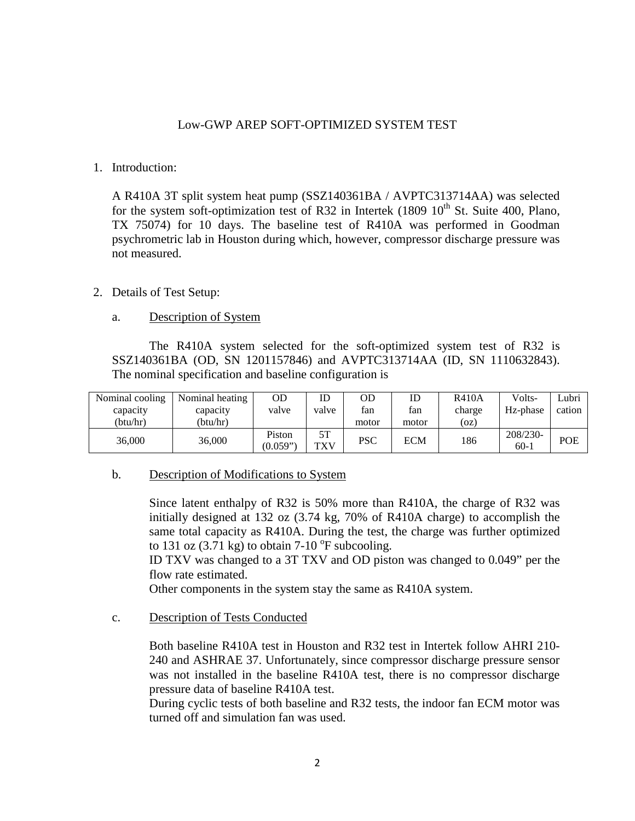## Low-GWP AREP SOFT-OPTIMIZED SYSTEM TEST

### 1. Introduction:

A R410A 3T split system heat pump (SSZ140361BA / AVPTC313714AA) was selected for the system soft-optimization test of R32 in Intertek (1809  $10^{th}$  St. Suite 400, Plano, TX 75074) for 10 days. The baseline test of R410A was performed in Goodman psychrometric lab in Houston during which, however, compressor discharge pressure was not measured.

## 2. Details of Test Setup:

### a. Description of System

The R410A system selected for the soft-optimized system test of R32 is SSZ140361BA (OD, SN 1201157846) and AVPTC313714AA (ID, SN 1110632843). The nominal specification and baseline configuration is

| Nominal cooling | Nominal heating | OD                 | ID               | OD         |       | <b>R410A</b> | Volts-             | Lubri  |
|-----------------|-----------------|--------------------|------------------|------------|-------|--------------|--------------------|--------|
| capacity        | capacity        | valve              | valve            | fan        | fan   | charge       | Hz-phase           | cation |
| (btu/hr)        | (btu/hr)        |                    |                  | motor      | motor | (oz)         |                    |        |
| 36,000          | 36,000          | Piston<br>(0.059") | 5T<br><b>TXV</b> | <b>PSC</b> | ECM   | 186          | 208/230-<br>$60-1$ | POE    |

## b. Description of Modifications to System

Since latent enthalpy of R32 is 50% more than R410A, the charge of R32 was initially designed at 132 oz (3.74 kg, 70% of R410A charge) to accomplish the same total capacity as R410A. During the test, the charge was further optimized to 131 oz  $(3.71 \text{ kg})$  to obtain 7-10  $^{\circ}$ F subcooling.

ID TXV was changed to a 3T TXV and OD piston was changed to 0.049" per the flow rate estimated.

Other components in the system stay the same as R410A system.

### c. Description of Tests Conducted

Both baseline R410A test in Houston and R32 test in Intertek follow AHRI 210- 240 and ASHRAE 37. Unfortunately, since compressor discharge pressure sensor was not installed in the baseline R410A test, there is no compressor discharge pressure data of baseline R410A test.

During cyclic tests of both baseline and R32 tests, the indoor fan ECM motor was turned off and simulation fan was used.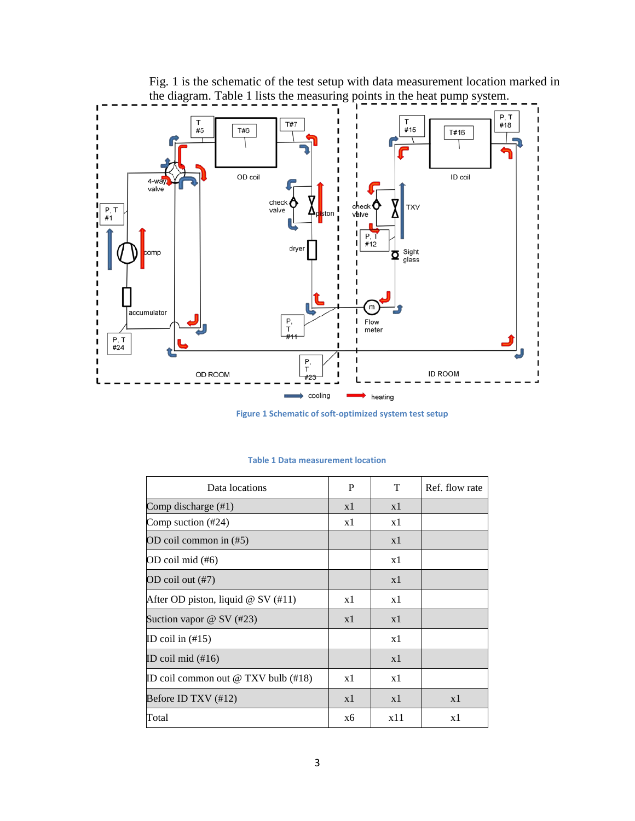

Fig. 1 is the schematic of the test setup with data measurement location marked in the diagram. Table 1 lists the measuring points in the heat pump system.

**Figure 1 Schematic of soft-optimized system test setup**

| Data locations                             | P  | T   | Ref. flow rate |
|--------------------------------------------|----|-----|----------------|
| Comp discharge (#1)                        | x1 | x1  |                |
| Comp suction $(\#24)$                      | x1 | x1  |                |
| OD coil common in $(\#5)$                  |    | x1  |                |
| OD coil mid (#6)                           |    | x1  |                |
| OD coil out (#7)                           |    | x1  |                |
| After OD piston, liquid $@$ SV (#11)       | x1 | x1  |                |
| Suction vapor $@$ SV $(\#23)$              | x1 | x1  |                |
| ID coil in $(\#15)$                        |    | x1  |                |
| ID coil mid $(\#16)$                       |    | x1  |                |
| ID coil common out $\omega$ TXV bulb (#18) | x1 | x1  |                |
| Before ID TXV $(\#12)$                     | x1 | x1  | x1             |
| Total                                      | x6 | x11 | x1             |

#### **Table 1 Data measurement location**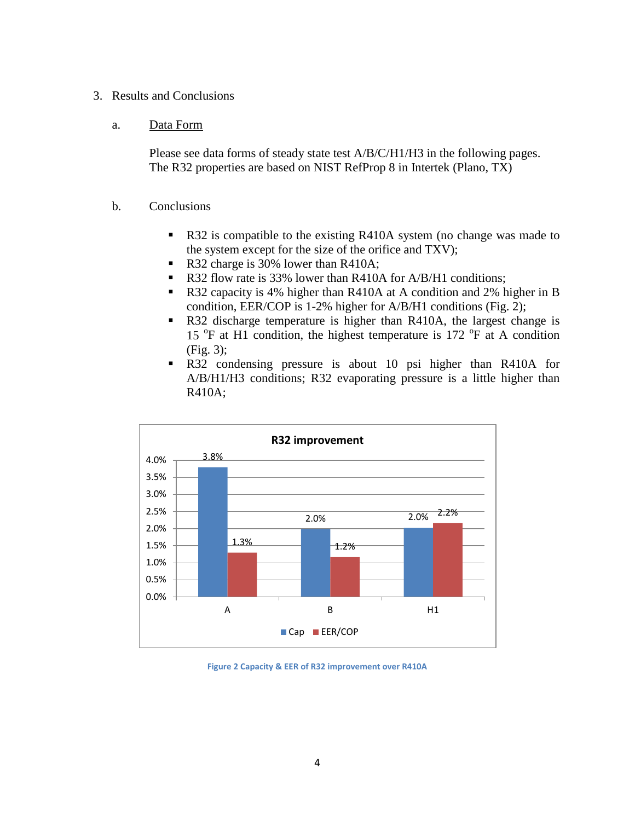## 3. Results and Conclusions

### a. Data Form

Please see data forms of steady state test A/B/C/H1/H3 in the following pages. The R32 properties are based on NIST RefProp 8 in Intertek (Plano, TX)

## b. Conclusions

- R32 is compatible to the existing R410A system (no change was made to the system except for the size of the orifice and TXV);
- R32 charge is 30% lower than R410A;
- R32 flow rate is 33% lower than R410A for A/B/H1 conditions;
- R32 capacity is 4% higher than R410A at A condition and 2% higher in B condition, EER/COP is 1-2% higher for A/B/H1 conditions (Fig. 2);
- R32 discharge temperature is higher than R410A, the largest change is 15 <sup>o</sup>F at H1 condition, the highest temperature is 172 <sup>o</sup>F at A condition (Fig. 3);
- R32 condensing pressure is about 10 psi higher than R410A for A/B/H1/H3 conditions; R32 evaporating pressure is a little higher than R410A;



**Figure 2 Capacity & EER of R32 improvement over R410A**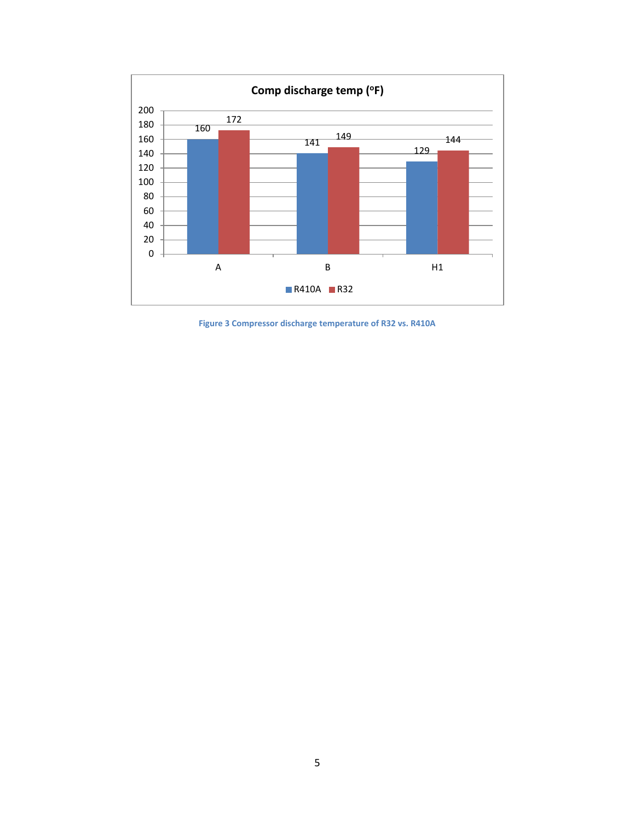

**Figure 3 Compressor discharge temperature of R32 vs. R410A**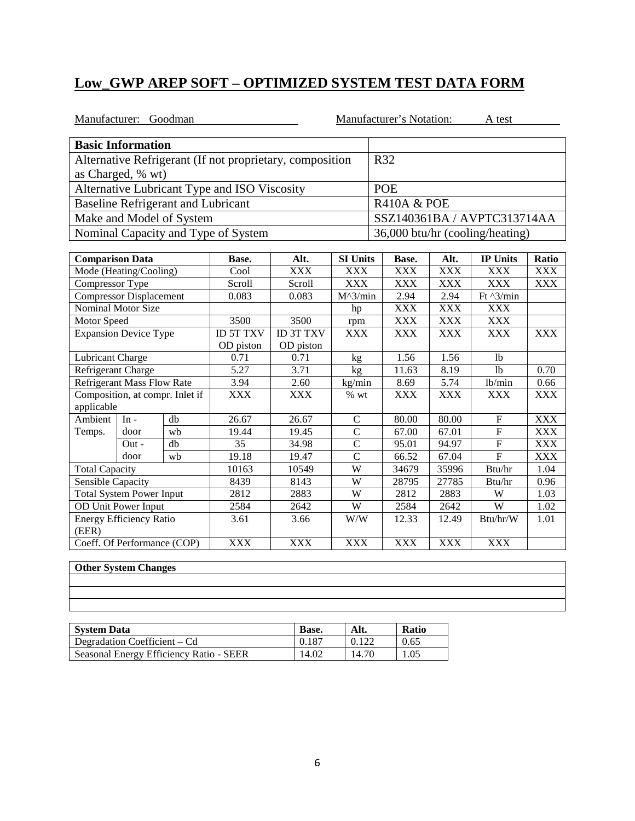|                                | Manufacturer: Goodman             |                                           |                                                          |                   |                 |            | Manufacturer's Notation: |                   | A test                          |            |
|--------------------------------|-----------------------------------|-------------------------------------------|----------------------------------------------------------|-------------------|-----------------|------------|--------------------------|-------------------|---------------------------------|------------|
| <b>Basic Information</b>       |                                   |                                           |                                                          |                   |                 |            |                          |                   |                                 |            |
|                                |                                   |                                           | Alternative Refrigerant (If not proprietary, composition |                   |                 |            | R32                      |                   |                                 |            |
|                                | as Charged, % wt)                 |                                           |                                                          |                   |                 |            |                          |                   |                                 |            |
|                                |                                   |                                           | Alternative Lubricant Type and ISO Viscosity             |                   | <b>POE</b>      |            |                          |                   |                                 |            |
|                                |                                   | <b>Baseline Refrigerant and Lubricant</b> |                                                          |                   |                 |            | <b>R410A &amp; POE</b>   |                   |                                 |            |
|                                |                                   | Make and Model of System                  |                                                          |                   |                 |            |                          |                   | SSZ140361BA / AVPTC313714AA     |            |
|                                |                                   |                                           | Nominal Capacity and Type of System                      |                   |                 |            |                          |                   | 36,000 btu/hr (cooling/heating) |            |
|                                |                                   |                                           |                                                          |                   |                 |            |                          |                   |                                 |            |
| <b>Comparison Data</b>         |                                   |                                           | Base.                                                    | Alt.              | <b>SI Units</b> |            | Base.                    | Alt.              | <b>IP Units</b>                 | Ratio      |
|                                | Mode (Heating/Cooling)            |                                           | Cool                                                     | <b>XXX</b>        | <b>XXX</b>      |            | <b>XXX</b>               | <b>XXX</b>        | <b>XXX</b>                      | <b>XXX</b> |
| Compressor Type                |                                   |                                           | Scroll                                                   | Scroll            | <b>XXX</b>      |            | <b>XXX</b>               | <b>XXX</b>        | <b>XXX</b>                      | <b>XXX</b> |
| <b>Compressor Displacement</b> |                                   | 0.083                                     | 0.083                                                    | $M^{\wedge}3/min$ |                 | 2.94       | 2.94                     | Ft $\sqrt{3}/min$ |                                 |            |
| <b>Nominal Motor Size</b>      |                                   |                                           |                                                          |                   | hp              |            | <b>XXX</b>               | <b>XXX</b>        | <b>XXX</b>                      |            |
| Motor Speed                    |                                   |                                           | 3500                                                     | 3500              | rpm             |            | <b>XXX</b>               | <b>XXX</b>        | <b>XXX</b>                      |            |
| <b>Expansion Device Type</b>   |                                   | <b>ID 5T TXV</b>                          | <b>ID 3T TXV</b>                                         | <b>XXX</b>        |                 | <b>XXX</b> | <b>XXX</b>               | <b>XXX</b>        | <b>XXX</b>                      |            |
|                                |                                   |                                           | OD piston                                                | OD piston         |                 |            |                          |                   |                                 |            |
| Lubricant Charge               |                                   |                                           | 0.71                                                     | 0.71              | kg              |            | 1.56                     | 1.56              | 1 <sub>b</sub>                  |            |
| Refrigerant Charge             |                                   |                                           | 5.27                                                     | 3.71              | kg              |            | 11.63                    | 8.19              | 1 <sub>b</sub>                  | 0.70       |
|                                | <b>Refrigerant Mass Flow Rate</b> |                                           | 3.94                                                     | 2.60              | kg/min          |            | 8.69                     | 5.74              | lb/min                          | 0.66       |
|                                |                                   | Composition, at compr. Inlet if           | <b>XXX</b>                                               | <b>XXX</b>        | $%$ wt          |            | <b>XXX</b>               | <b>XXX</b>        | <b>XXX</b>                      | <b>XXX</b> |
| applicable                     |                                   |                                           |                                                          |                   |                 |            |                          |                   |                                 |            |
| Ambient                        | $In -$                            | db                                        | 26.67                                                    | 26.67             | $\mathsf{C}$    |            | 80.00                    | 80.00             | $\mathbf{F}$                    | <b>XXX</b> |
| Temps.                         | door                              | wb                                        | 19.44                                                    | 19.45             | $\overline{C}$  |            | 67.00                    | 67.01             | $\mathbf F$                     | <b>XXX</b> |
|                                | $Out -$                           | db                                        | 35                                                       | 34.98             | $\overline{C}$  |            | 95.01                    | 94.97             | ${\bf F}$                       | <b>XXX</b> |
|                                | door                              | wh                                        | 19.18                                                    | 19.47             | $\overline{C}$  |            | 66.52                    | 67.04             | $\overline{F}$                  | <b>XXX</b> |
| <b>Total Capacity</b>          |                                   |                                           | 10163                                                    | 10549             | W               |            | 34679                    | 35996             | Btu/hr                          | 1.04       |
| Sensible Capacity              |                                   |                                           | 8439                                                     | 8143              | W               |            | 28795                    | 27785             | Btu/hr                          | 0.96       |
|                                | <b>Total System Power Input</b>   |                                           | 2812                                                     | 2883              | $\overline{W}$  |            | 2812                     | 2883              | W                               | 1.03       |
|                                | <b>OD Unit Power Input</b>        |                                           | 2584                                                     | 2642              | $\overline{W}$  |            | 2584                     | 2642              | W                               | 1.02       |
| (EER)                          | <b>Energy Efficiency Ratio</b>    |                                           | 3.61                                                     | 3.66              | W/W             |            | 12.33                    | 12.49             | Btu/hr/W                        | 1.01       |
|                                | Coeff. Of Performance (COP)       |                                           | <b>XXX</b>                                               | <b>XXX</b>        | <b>XXX</b>      |            | <b>XXX</b>               | <b>XXX</b>        | <b>XXX</b>                      |            |

| <b>System Data</b>                      | Base. | Alt.  | <b>Ratio</b> |
|-----------------------------------------|-------|-------|--------------|
| Degradation Coefficient – Cd            | 0.187 | 0.122 | 0.65         |
| Seasonal Energy Efficiency Ratio - SEER | 14.02 | 14.70 | 1.05         |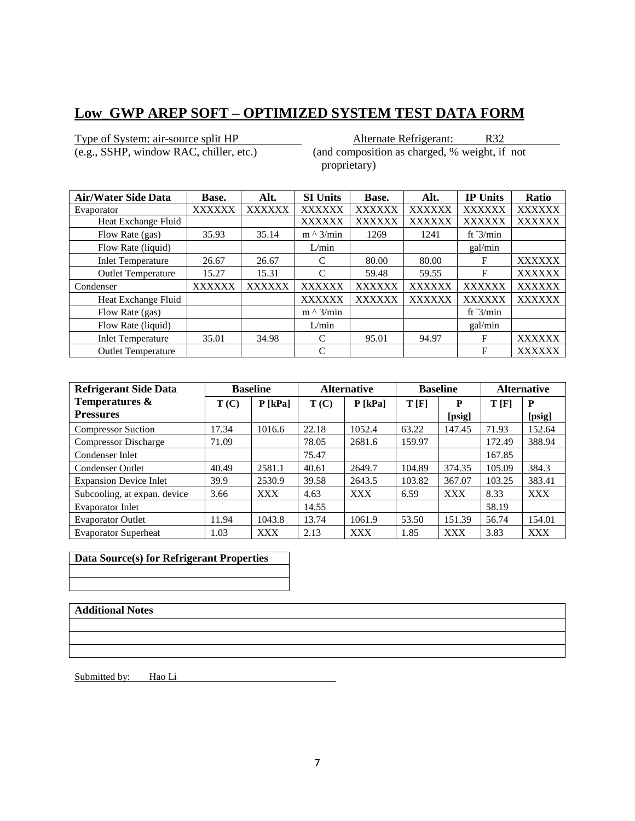Type of System: air-source split HP<br>
(e.g., SSHP, window RAC, chiller, etc.) (and composition as charged, % weight, if  $($ and composition as charged,  $%$  weight, if not

proprietary)

| <b>Air/Water Side Data</b> | Base.         | Alt.          | <b>SI Units</b>  | Base.         | Alt.          | <b>IP Units</b>    | Ratio         |
|----------------------------|---------------|---------------|------------------|---------------|---------------|--------------------|---------------|
| Evaporator                 | <b>XXXXXX</b> | <b>XXXXXX</b> | <b>XXXXXX</b>    | <b>XXXXXX</b> | <b>XXXXXX</b> | <b>XXXXXX</b>      | <b>XXXXXX</b> |
| Heat Exchange Fluid        |               |               | <b>XXXXXX</b>    | <b>XXXXXX</b> | <b>XXXXXX</b> | <b>XXXXXX</b>      | <b>XXXXXX</b> |
| Flow Rate (gas)            | 35.93         | 35.14         | $m \wedge 3/min$ | 1269          | 1241          | ft $\frac{3}{min}$ |               |
| Flow Rate (liquid)         |               |               | L/min            |               |               | gal/min            |               |
| <b>Inlet Temperature</b>   | 26.67         | 26.67         | C                | 80.00         | 80.00         | F                  | <b>XXXXXX</b> |
| <b>Outlet Temperature</b>  | 15.27         | 15.31         | C                | 59.48         | 59.55         | F                  | <b>XXXXXX</b> |
| Condenser                  | <b>XXXXXX</b> | <b>XXXXXX</b> | <b>XXXXXX</b>    | <b>XXXXXX</b> | <b>XXXXXX</b> | <b>XXXXXX</b>      | <b>XXXXXX</b> |
| Heat Exchange Fluid        |               |               | <b>XXXXXX</b>    | <b>XXXXXX</b> | <b>XXXXXX</b> | <b>XXXXXX</b>      | <b>XXXXXX</b> |
| Flow Rate (gas)            |               |               | $m \wedge 3/min$ |               |               | ft $3/min$         |               |
| Flow Rate (liquid)         |               |               | L/min            |               |               | gal/min            |               |
| <b>Inlet Temperature</b>   | 35.01         | 34.98         | C                | 95.01         | 94.97         | F                  | <b>XXXXXX</b> |
| <b>Outlet Temperature</b>  |               |               | C                |               |               | F                  | <b>XXXXXX</b> |

| <b>Refrigerant Side Data</b>  |       | <b>Baseline</b> |       | <b>Alternative</b> |        | <b>Baseline</b> |        | <b>Alternative</b> |
|-------------------------------|-------|-----------------|-------|--------------------|--------|-----------------|--------|--------------------|
| Temperatures &                | T(C)  | $P$ [kPa]       | T(C)  | P [kPa]            | T[F]   | P               | T[F]   | P                  |
| <b>Pressures</b>              |       |                 |       |                    |        | [psig]          |        | [psig]             |
| <b>Compressor Suction</b>     | 17.34 | 1016.6          | 22.18 | 1052.4             | 63.22  | 147.45          | 71.93  | 152.64             |
| <b>Compressor Discharge</b>   | 71.09 |                 | 78.05 | 2681.6             | 159.97 |                 | 172.49 | 388.94             |
| Condenser Inlet               |       |                 | 75.47 |                    |        |                 | 167.85 |                    |
| Condenser Outlet              | 40.49 | 2581.1          | 40.61 | 2649.7             | 104.89 | 374.35          | 105.09 | 384.3              |
| <b>Expansion Device Inlet</b> | 39.9  | 2530.9          | 39.58 | 2643.5             | 103.82 | 367.07          | 103.25 | 383.41             |
| Subcooling, at expan. device  | 3.66  | <b>XXX</b>      | 4.63  | <b>XXX</b>         | 6.59   | <b>XXX</b>      | 8.33   | <b>XXX</b>         |
| <b>Evaporator Inlet</b>       |       |                 | 14.55 |                    |        |                 | 58.19  |                    |
| <b>Evaporator Outlet</b>      | 11.94 | 1043.8          | 13.74 | 1061.9             | 53.50  | 151.39          | 56.74  | 154.01             |
| <b>Evaporator Superheat</b>   | 1.03  | <b>XXX</b>      | 2.13  | <b>XXX</b>         | 1.85   | <b>XXX</b>      | 3.83   | <b>XXX</b>         |

## **Data Source(s) for Refrigerant Properties**

## **Additional Notes**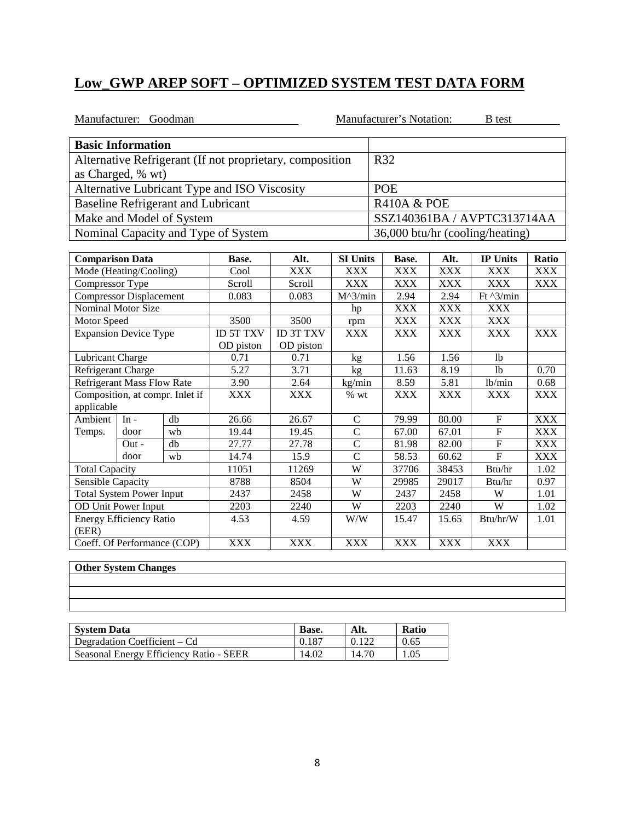| Manufacturer: Goodman          |                                   |                                           |                                                          |                   |                        |            | Manufacturer's Notation: |                   | <b>B</b> test                   |            |
|--------------------------------|-----------------------------------|-------------------------------------------|----------------------------------------------------------|-------------------|------------------------|------------|--------------------------|-------------------|---------------------------------|------------|
| <b>Basic Information</b>       |                                   |                                           |                                                          |                   |                        |            |                          |                   |                                 |            |
|                                |                                   |                                           | Alternative Refrigerant (If not proprietary, composition |                   |                        |            | R32                      |                   |                                 |            |
|                                | as Charged, % wt)                 |                                           |                                                          |                   |                        |            |                          |                   |                                 |            |
|                                |                                   |                                           | Alternative Lubricant Type and ISO Viscosity             |                   | <b>POE</b>             |            |                          |                   |                                 |            |
|                                |                                   | <b>Baseline Refrigerant and Lubricant</b> |                                                          |                   |                        |            | <b>R410A &amp; POE</b>   |                   |                                 |            |
|                                |                                   | Make and Model of System                  |                                                          |                   |                        |            |                          |                   | SSZ140361BA / AVPTC313714AA     |            |
|                                |                                   |                                           | Nominal Capacity and Type of System                      |                   |                        |            |                          |                   | 36,000 btu/hr (cooling/heating) |            |
|                                |                                   |                                           |                                                          |                   |                        |            |                          |                   |                                 |            |
| <b>Comparison Data</b>         |                                   |                                           | Base.                                                    | Alt.              | <b>SI Units</b>        |            | Base.                    | Alt.              | <b>IP Units</b>                 | Ratio      |
|                                | Mode (Heating/Cooling)            |                                           | Cool                                                     | <b>XXX</b>        | <b>XXX</b>             |            | <b>XXX</b>               | <b>XXX</b>        | <b>XXX</b>                      | <b>XXX</b> |
| Compressor Type                |                                   |                                           | Scroll                                                   | Scroll            | <b>XXX</b>             |            | <b>XXX</b>               | <b>XXX</b>        | <b>XXX</b>                      | <b>XXX</b> |
| <b>Compressor Displacement</b> |                                   | 0.083                                     | 0.083                                                    | $M^{\wedge}3/min$ |                        | 2.94       | 2.94                     | Ft $\sqrt{3}/min$ |                                 |            |
| Nominal Motor Size             |                                   |                                           |                                                          |                   | hp                     |            | <b>XXX</b>               | <b>XXX</b>        | <b>XXX</b>                      |            |
| Motor Speed                    |                                   |                                           | 3500                                                     | 3500              | rpm                    |            | <b>XXX</b>               | <b>XXX</b>        | <b>XXX</b>                      |            |
| <b>Expansion Device Type</b>   |                                   | <b>ID 5T TXV</b>                          | <b>ID 3T TXV</b>                                         | <b>XXX</b>        |                        | <b>XXX</b> | <b>XXX</b>               | <b>XXX</b>        | <b>XXX</b>                      |            |
|                                |                                   |                                           | OD piston                                                | OD piston         |                        |            |                          |                   |                                 |            |
| <b>Lubricant Charge</b>        |                                   |                                           | 0.71                                                     | 0.71              | kg                     |            | 1.56                     | 1.56              | 1 <sub>b</sub>                  |            |
| Refrigerant Charge             |                                   |                                           | 5.27                                                     | 3.71              | $\overline{\text{kg}}$ |            | 11.63                    | 8.19              | 1 <sub>b</sub>                  | 0.70       |
|                                | <b>Refrigerant Mass Flow Rate</b> |                                           | 3.90                                                     | 2.64              | kg/min                 |            | 8.59                     | 5.81              | 1b/min                          | 0.68       |
|                                |                                   | Composition, at compr. Inlet if           | <b>XXX</b>                                               | <b>XXX</b>        | $%$ wt                 |            | <b>XXX</b>               | <b>XXX</b>        | <b>XXX</b>                      | XXX        |
| applicable                     |                                   |                                           |                                                          |                   |                        |            |                          |                   |                                 |            |
| Ambient                        | $In -$                            | db                                        | 26.66                                                    | 26.67             | $\mathbf C$            |            | 79.99                    | 80.00             | $\mathbf F$                     | <b>XXX</b> |
| Temps.                         | door                              | wb                                        | 19.44                                                    | 19.45             | $\overline{C}$         |            | 67.00                    | 67.01             | $\overline{F}$                  | <b>XXX</b> |
|                                | $Out -$                           | db                                        | 27.77                                                    | 27.78             | $\overline{C}$         |            | 81.98                    | 82.00             | ${\bf F}$                       | <b>XXX</b> |
|                                | door                              | wb                                        | 14.74                                                    | 15.9              | $\overline{C}$         |            | 58.53                    | 60.62             | $\mathbf{F}$                    | <b>XXX</b> |
| <b>Total Capacity</b>          |                                   |                                           | 11051                                                    | 11269             | $\overline{W}$         |            | 37706                    | 38453             | Btu/hr                          | 1.02       |
| Sensible Capacity              |                                   |                                           | 8788                                                     | 8504              | W                      |            | 29985                    | 29017             | Btu/hr                          | 0.97       |
|                                | <b>Total System Power Input</b>   |                                           | 2437                                                     | 2458              | $\overline{W}$         |            | 2437                     | 2458              | W                               | 1.01       |
|                                | <b>OD Unit Power Input</b>        |                                           | 2203                                                     | 2240              | $\overline{W}$         |            | 2203                     | 2240              | W                               | 1.02       |
| (EER)                          | <b>Energy Efficiency Ratio</b>    |                                           | 4.53                                                     | 4.59              | W/W                    |            | 15.47                    | 15.65             | Btu/hr/W                        | 1.01       |
|                                | Coeff. Of Performance (COP)       |                                           | <b>XXX</b>                                               | <b>XXX</b>        | <b>XXX</b>             |            | <b>XXX</b>               | <b>XXX</b>        | <b>XXX</b>                      |            |

| <b>System Data</b>                      | Base. | Alt.  | <b>Ratio</b> |
|-----------------------------------------|-------|-------|--------------|
| Degradation Coefficient – Cd            | 0.187 | 0.122 | 0.65         |
| Seasonal Energy Efficiency Ratio - SEER | 14.02 | 14.70 | 1.05         |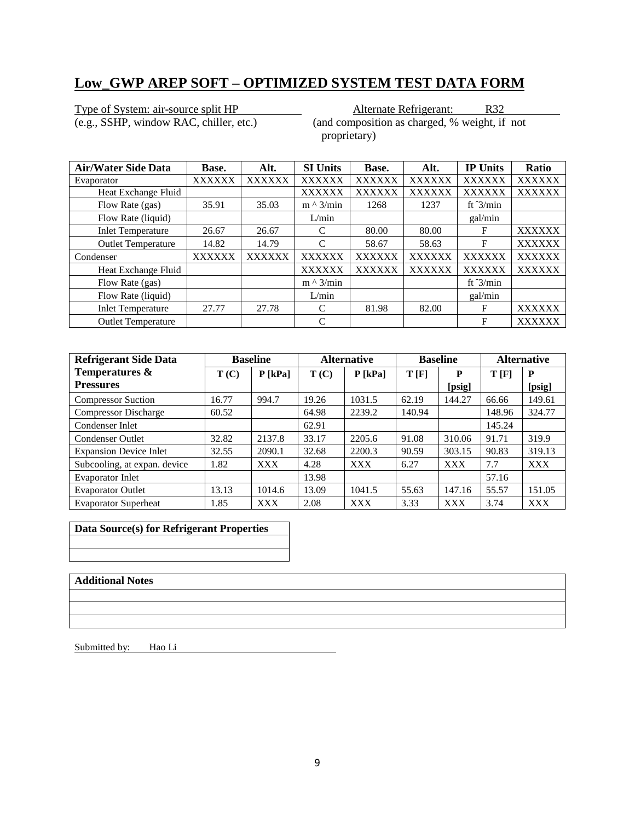Type of System: air-source split HP<br>
(e.g., SSHP, window RAC, chiller, etc.) (and composition as charged, % weight, if

 $($ and composition as charged,  $%$  weight, if not proprietary)

| <b>Air/Water Side Data</b> | Base.         | Alt.          | <b>SI Units</b>  | Base.         | Alt.          | <b>IP Units</b>    | Ratio         |
|----------------------------|---------------|---------------|------------------|---------------|---------------|--------------------|---------------|
| Evaporator                 | <b>XXXXXX</b> | <b>XXXXXX</b> | <b>XXXXXX</b>    | <b>XXXXXX</b> | <b>XXXXXX</b> | <b>XXXXXX</b>      | <b>XXXXXX</b> |
| Heat Exchange Fluid        |               |               | <b>XXXXXX</b>    | <b>XXXXXX</b> | <b>XXXXXX</b> | <b>XXXXXX</b>      | <b>XXXXXX</b> |
| Flow Rate (gas)            | 35.91         | 35.03         | $m \wedge 3/min$ | 1268          | 1237          | ft $\frac{3}{min}$ |               |
| Flow Rate (liquid)         |               |               | L/min            |               |               | gal/min            |               |
| <b>Inlet Temperature</b>   | 26.67         | 26.67         | C                | 80.00         | 80.00         | F                  | <b>XXXXXX</b> |
| <b>Outlet Temperature</b>  | 14.82         | 14.79         | C                | 58.67         | 58.63         | F                  | <b>XXXXXX</b> |
| Condenser                  | <b>XXXXXX</b> | <b>XXXXXX</b> | <b>XXXXXX</b>    | <b>XXXXXX</b> | <b>XXXXXX</b> | <b>XXXXXX</b>      | <b>XXXXXX</b> |
| Heat Exchange Fluid        |               |               | <b>XXXXXX</b>    | <b>XXXXXX</b> | <b>XXXXXX</b> | <b>XXXXXX</b>      | <b>XXXXXX</b> |
| Flow Rate (gas)            |               |               | $m \wedge 3/min$ |               |               | ft $\frac{3}{min}$ |               |
| Flow Rate (liquid)         |               |               | L/min            |               |               | gal/min            |               |
| <b>Inlet Temperature</b>   | 27.77         | 27.78         | C                | 81.98         | 82.00         | F                  | <b>XXXXXX</b> |
| <b>Outlet Temperature</b>  |               |               | C                |               |               | F                  | <b>XXXXXX</b> |

| <b>Refrigerant Side Data</b>  |       | <b>Baseline</b> |       | <b>Alternative</b> |        | <b>Baseline</b> |        | <b>Alternative</b> |
|-------------------------------|-------|-----------------|-------|--------------------|--------|-----------------|--------|--------------------|
| Temperatures &                | T(C)  | $P$ [kPa]       | T(C)  | $P$ [kPa]          | T[F]   | P               | T[F]   | P                  |
| <b>Pressures</b>              |       |                 |       |                    |        | [psig]          |        | [psig]             |
| <b>Compressor Suction</b>     | 16.77 | 994.7           | 19.26 | 1031.5             | 62.19  | 144.27          | 66.66  | 149.61             |
| <b>Compressor Discharge</b>   | 60.52 |                 | 64.98 | 2239.2             | 140.94 |                 | 148.96 | 324.77             |
| Condenser Inlet               |       |                 | 62.91 |                    |        |                 | 145.24 |                    |
| <b>Condenser Outlet</b>       | 32.82 | 2137.8          | 33.17 | 2205.6             | 91.08  | 310.06          | 91.71  | 319.9              |
| <b>Expansion Device Inlet</b> | 32.55 | 2090.1          | 32.68 | 2200.3             | 90.59  | 303.15          | 90.83  | 319.13             |
| Subcooling, at expan. device  | 1.82  | <b>XXX</b>      | 4.28  | <b>XXX</b>         | 6.27   | <b>XXX</b>      | 7.7    | <b>XXX</b>         |
| <b>Evaporator Inlet</b>       |       |                 | 13.98 |                    |        |                 | 57.16  |                    |
| <b>Evaporator Outlet</b>      | 13.13 | 1014.6          | 13.09 | 1041.5             | 55.63  | 147.16          | 55.57  | 151.05             |
| <b>Evaporator Superheat</b>   | 1.85  | <b>XXX</b>      | 2.08  | <b>XXX</b>         | 3.33   | <b>XXX</b>      | 3.74   | <b>XXX</b>         |

**Data Source(s) for Refrigerant Properties**

### **Additional Notes**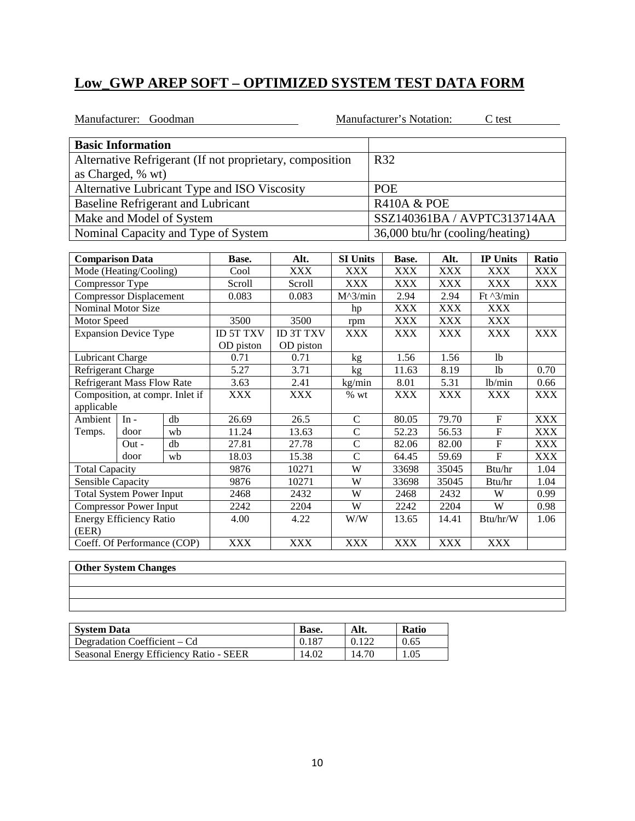|                              | Manufacturer: Goodman             |                                           |                                                          |                  |                   |                        | Manufacturer's Notation: |            | C test                          |            |
|------------------------------|-----------------------------------|-------------------------------------------|----------------------------------------------------------|------------------|-------------------|------------------------|--------------------------|------------|---------------------------------|------------|
|                              | <b>Basic Information</b>          |                                           |                                                          |                  |                   |                        |                          |            |                                 |            |
|                              |                                   |                                           | Alternative Refrigerant (If not proprietary, composition |                  |                   |                        | R32                      |            |                                 |            |
|                              | as Charged, % wt)                 |                                           |                                                          |                  |                   |                        |                          |            |                                 |            |
|                              |                                   |                                           | Alternative Lubricant Type and ISO Viscosity             |                  |                   |                        | <b>POE</b>               |            |                                 |            |
|                              |                                   | <b>Baseline Refrigerant and Lubricant</b> |                                                          |                  |                   | <b>R410A &amp; POE</b> |                          |            |                                 |            |
|                              |                                   | Make and Model of System                  |                                                          |                  |                   |                        |                          |            | SSZ140361BA / AVPTC313714AA     |            |
|                              |                                   |                                           | Nominal Capacity and Type of System                      |                  |                   |                        |                          |            | 36,000 btu/hr (cooling/heating) |            |
|                              |                                   |                                           |                                                          |                  |                   |                        |                          |            |                                 |            |
| <b>Comparison Data</b>       |                                   |                                           | Base.                                                    | Alt.             | <b>SI Units</b>   |                        | Base.                    | Alt.       | <b>IP Units</b>                 | Ratio      |
|                              | Mode (Heating/Cooling)            |                                           | Cool                                                     | <b>XXX</b>       | <b>XXX</b>        |                        | <b>XXX</b>               | <b>XXX</b> | <b>XXX</b>                      | <b>XXX</b> |
| Compressor Type              |                                   |                                           | Scroll                                                   | Scroll           | <b>XXX</b>        |                        | <b>XXX</b>               | <b>XXX</b> | <b>XXX</b>                      | <b>XXX</b> |
|                              | <b>Compressor Displacement</b>    |                                           | 0.083                                                    | 0.083            | $M^{\wedge}3/min$ |                        | 2.94                     | 2.94       | Ft $\sqrt{3}/min$               |            |
|                              | <b>Nominal Motor Size</b>         |                                           |                                                          |                  | hp                |                        | <b>XXX</b>               | <b>XXX</b> | <b>XXX</b>                      |            |
| Motor Speed                  |                                   |                                           | 3500                                                     | 3500             | rpm               |                        | <b>XXX</b>               | <b>XXX</b> | <b>XXX</b>                      |            |
| <b>Expansion Device Type</b> |                                   |                                           | <b>ID 5T TXV</b>                                         | <b>ID 3T TXV</b> | <b>XXX</b>        |                        | <b>XXX</b>               | <b>XXX</b> | <b>XXX</b>                      | <b>XXX</b> |
|                              |                                   |                                           | OD piston                                                | OD piston        |                   |                        |                          |            |                                 |            |
| Lubricant Charge             |                                   |                                           | 0.71                                                     | 0.71             | kg                |                        | 1.56                     | 1.56       | 1 <sub>b</sub>                  |            |
| Refrigerant Charge           |                                   |                                           | 5.27                                                     | 3.71             | kg                |                        | 11.63                    | 8.19       | 1 <sub>b</sub>                  | 0.70       |
|                              | <b>Refrigerant Mass Flow Rate</b> |                                           | 3.63                                                     | 2.41             | kg/min            |                        | 8.01                     | 5.31       | lb/min                          | 0.66       |
|                              |                                   | Composition, at compr. Inlet if           | <b>XXX</b>                                               | <b>XXX</b>       | % wt              |                        | <b>XXX</b>               | <b>XXX</b> | <b>XXX</b>                      | <b>XXX</b> |
| applicable                   |                                   |                                           |                                                          |                  |                   |                        |                          |            |                                 |            |
| Ambient                      | In -                              | db                                        | 26.69                                                    | 26.5             | $\mathcal{C}$     |                        | 80.05                    | 79.70      | $\mathbf F$                     | <b>XXX</b> |
| Temps.                       | door                              | wb                                        | 11.24                                                    | 13.63            | $\overline{C}$    |                        | 52.23                    | 56.53      | $\mathbf{F}$                    | <b>XXX</b> |
|                              | $Out -$                           | db                                        | 27.81                                                    | 27.78            | $\overline{C}$    |                        | 82.06                    | 82.00      | ${\bf F}$                       | <b>XXX</b> |
|                              | door                              | wh                                        | 18.03                                                    | 15.38            | $\overline{C}$    |                        | 64.45                    | 59.69      | $\overline{F}$                  | <b>XXX</b> |
| <b>Total Capacity</b>        |                                   |                                           | 9876                                                     | 10271            | W                 |                        | 33698                    | 35045      | Btu/hr                          | 1.04       |
| Sensible Capacity            |                                   |                                           | 9876                                                     | 10271            | $\overline{W}$    |                        | 33698                    | 35045      | Btu/hr                          | 1.04       |
|                              | <b>Total System Power Input</b>   |                                           | 2468                                                     | 2432             | W                 |                        | 2468                     | 2432       | W                               | 0.99       |
|                              | <b>Compressor Power Input</b>     |                                           | 2242                                                     | 2204             | W                 |                        | 2242                     | 2204       | W                               | 0.98       |
| (EER)                        | <b>Energy Efficiency Ratio</b>    |                                           | 4.00                                                     | 4.22             | W/W               |                        | 13.65                    | 14.41      | Btu/hr/W                        | 1.06       |
|                              |                                   | Coeff. Of Performance (COP)               | <b>XXX</b>                                               | <b>XXX</b>       | <b>XXX</b>        |                        | <b>XXX</b>               | <b>XXX</b> | <b>XXX</b>                      |            |

|  | <u> 1989 - Ann an Dùbhlachd ann an Dùbhlachd ann an Dùbhlachd ann an Dùbhlachd ann an Dùbhlachd ann an Dùbhlachd a</u> |
|--|------------------------------------------------------------------------------------------------------------------------|
|  |                                                                                                                        |
|  |                                                                                                                        |
|  |                                                                                                                        |
|  | <u> 1989 - Ann an Dùbhlachd ann an Dùbhlachd ann an Dùbhlachd ann an Dùbhlachd ann an Dùbhlachd ann an Dùbhlachd a</u> |
|  |                                                                                                                        |
|  |                                                                                                                        |
|  |                                                                                                                        |
|  | <u> 1990 - Jan Sarajević, marski političar i postao da svjetski političar i postao da svjetski postava i svjetski </u> |
|  |                                                                                                                        |

| <b>System Data</b>                      | Base. | Alt.  | <b>Ratio</b> |
|-----------------------------------------|-------|-------|--------------|
| Degradation Coefficient – Cd            | 0.187 | 0.122 | 0.65         |
| Seasonal Energy Efficiency Ratio - SEER | 14.02 | 14.70 | 1.05         |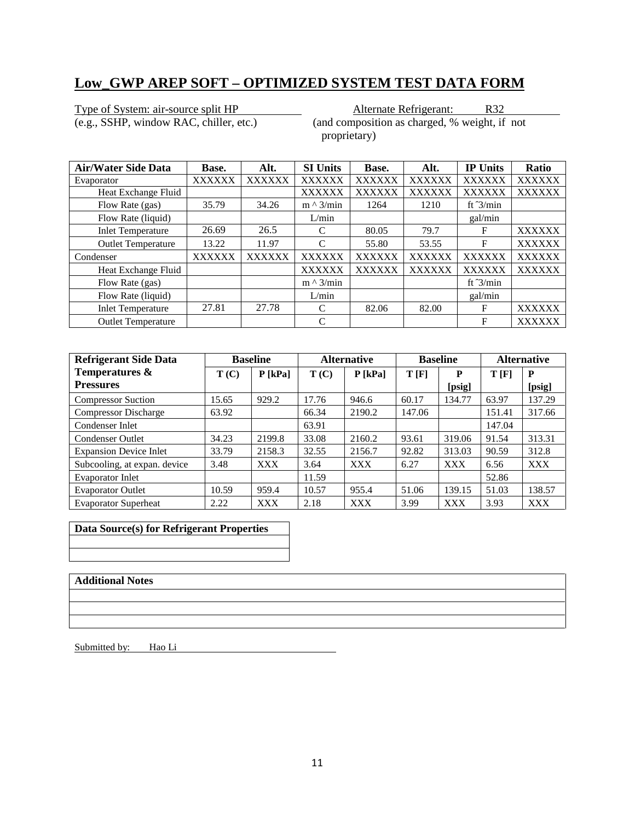Type of System: air-source split HP<br>
(e.g., SSHP, window RAC, chiller, etc.) (and composition as charged, % weight, if  $($ and composition as charged,  $%$  weight, if not proprietary)

| <b>Air/Water Side Data</b> | Base.         | Alt.          | <b>SI Units</b>  | Base.         | Alt.          | <b>IP Units</b>    | Ratio         |
|----------------------------|---------------|---------------|------------------|---------------|---------------|--------------------|---------------|
| Evaporator                 | <b>XXXXXX</b> | <b>XXXXXX</b> | <b>XXXXXX</b>    | <b>XXXXXX</b> | <b>XXXXXX</b> | <b>XXXXXX</b>      | <b>XXXXXX</b> |
| Heat Exchange Fluid        |               |               | <b>XXXXXX</b>    | <b>XXXXXX</b> | <b>XXXXXX</b> | <b>XXXXXX</b>      | <b>XXXXXX</b> |
| Flow Rate (gas)            | 35.79         | 34.26         | $m \wedge 3/min$ | 1264          | 1210          | ft $\frac{3}{min}$ |               |
| Flow Rate (liquid)         |               |               | L/min            |               |               | gal/min            |               |
| <b>Inlet Temperature</b>   | 26.69         | 26.5          | C                | 80.05         | 79.7          | F                  | <b>XXXXXX</b> |
| <b>Outlet Temperature</b>  | 13.22         | 11.97         | C                | 55.80         | 53.55         | F                  | <b>XXXXXX</b> |
| Condenser                  | <b>XXXXXX</b> | <b>XXXXXX</b> | <b>XXXXXX</b>    | <b>XXXXXX</b> | <b>XXXXXX</b> | <b>XXXXXX</b>      | <b>XXXXXX</b> |
| Heat Exchange Fluid        |               |               | <b>XXXXXX</b>    | <b>XXXXXX</b> | <b>XXXXXX</b> | <b>XXXXXX</b>      | <b>XXXXXX</b> |
| Flow Rate (gas)            |               |               | $m \wedge 3/min$ |               |               | ft $\frac{3}{min}$ |               |
| Flow Rate (liquid)         |               |               | L/min            |               |               | gal/min            |               |
| <b>Inlet Temperature</b>   | 27.81         | 27.78         | C                | 82.06         | 82.00         | F                  | <b>XXXXXX</b> |
| <b>Outlet Temperature</b>  |               |               | C                |               |               | F                  | <b>XXXXXX</b> |

| <b>Refrigerant Side Data</b>  |       | <b>Baseline</b> |       | <b>Alternative</b> |        | <b>Baseline</b> | <b>Alternative</b> |            |
|-------------------------------|-------|-----------------|-------|--------------------|--------|-----------------|--------------------|------------|
| Temperatures &                | T(C)  | $P$ [kPa]       | T(C)  | $P$ [kPa]          | T[F]   | P               | T[F]               | P          |
| <b>Pressures</b>              |       |                 |       |                    |        | [psig]          |                    | [psig]     |
| <b>Compressor Suction</b>     | 15.65 | 929.2           | 17.76 | 946.6              | 60.17  | 134.77          | 63.97              | 137.29     |
| <b>Compressor Discharge</b>   | 63.92 |                 | 66.34 | 2190.2             | 147.06 |                 | 151.41             | 317.66     |
| Condenser Inlet               |       |                 | 63.91 |                    |        |                 | 147.04             |            |
| <b>Condenser Outlet</b>       | 34.23 | 2199.8          | 33.08 | 2160.2             | 93.61  | 319.06          | 91.54              | 313.31     |
| <b>Expansion Device Inlet</b> | 33.79 | 2158.3          | 32.55 | 2156.7             | 92.82  | 313.03          | 90.59              | 312.8      |
| Subcooling, at expan. device  | 3.48  | <b>XXX</b>      | 3.64  | <b>XXX</b>         | 6.27   | <b>XXX</b>      | 6.56               | <b>XXX</b> |
| <b>Evaporator Inlet</b>       |       |                 | 11.59 |                    |        |                 | 52.86              |            |
| <b>Evaporator Outlet</b>      | 10.59 | 959.4           | 10.57 | 955.4              | 51.06  | 139.15          | 51.03              | 138.57     |
| <b>Evaporator Superheat</b>   | 2.22  | <b>XXX</b>      | 2.18  | <b>XXX</b>         | 3.99   | <b>XXX</b>      | 3.93               | <b>XXX</b> |

**Data Source(s) for Refrigerant Properties**

### **Additional Notes**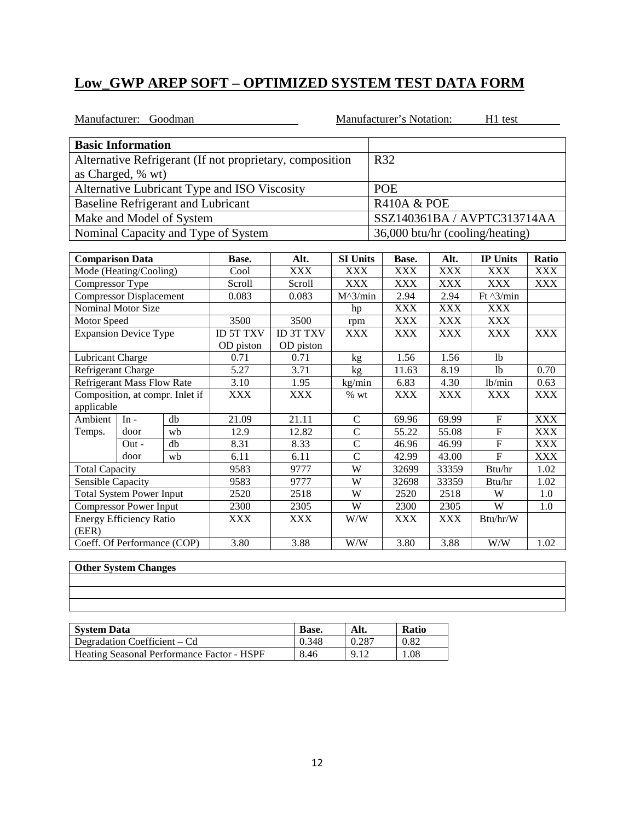|                        | Manufacturer: Goodman             |                                           |                                                          |                  |                   |                        | Manufacturer's Notation: |            | H1 test                         |            |
|------------------------|-----------------------------------|-------------------------------------------|----------------------------------------------------------|------------------|-------------------|------------------------|--------------------------|------------|---------------------------------|------------|
|                        | <b>Basic Information</b>          |                                           |                                                          |                  |                   |                        |                          |            |                                 |            |
|                        |                                   |                                           | Alternative Refrigerant (If not proprietary, composition |                  |                   | R32                    |                          |            |                                 |            |
|                        | as Charged, % wt)                 |                                           |                                                          |                  |                   |                        |                          |            |                                 |            |
|                        |                                   |                                           | Alternative Lubricant Type and ISO Viscosity             |                  |                   |                        | <b>POE</b>               |            |                                 |            |
|                        |                                   | <b>Baseline Refrigerant and Lubricant</b> |                                                          |                  |                   | <b>R410A &amp; POE</b> |                          |            |                                 |            |
|                        |                                   | Make and Model of System                  |                                                          |                  |                   |                        |                          |            | SSZ140361BA / AVPTC313714AA     |            |
|                        |                                   |                                           | Nominal Capacity and Type of System                      |                  |                   |                        |                          |            | 36,000 btu/hr (cooling/heating) |            |
|                        |                                   |                                           |                                                          |                  |                   |                        |                          |            |                                 |            |
| <b>Comparison Data</b> |                                   |                                           | Base.                                                    | Alt.             | <b>SI Units</b>   |                        | Base.                    | Alt.       | <b>IP Units</b>                 | Ratio      |
|                        | Mode (Heating/Cooling)            |                                           | Cool                                                     | <b>XXX</b>       | <b>XXX</b>        |                        | <b>XXX</b>               | <b>XXX</b> | <b>XXX</b>                      | <b>XXX</b> |
| Compressor Type        |                                   |                                           | Scroll                                                   | Scroll           | <b>XXX</b>        |                        | <b>XXX</b>               | <b>XXX</b> | <b>XXX</b>                      | <b>XXX</b> |
|                        | <b>Compressor Displacement</b>    |                                           | 0.083                                                    | 0.083            | $M^{\wedge}3/min$ |                        | 2.94                     | 2.94       | Ft $^{3/min}$                   |            |
| Nominal Motor Size     |                                   |                                           |                                                          |                  | hp                |                        | <b>XXX</b>               | <b>XXX</b> | <b>XXX</b>                      |            |
| Motor Speed            |                                   |                                           | 3500                                                     | 3500             | rpm               |                        | <b>XXX</b>               | <b>XXX</b> | <b>XXX</b>                      |            |
|                        | <b>Expansion Device Type</b>      |                                           | <b>ID 5T TXV</b>                                         | <b>ID 3T TXV</b> | <b>XXX</b>        |                        | <b>XXX</b>               | <b>XXX</b> | <b>XXX</b>                      | <b>XXX</b> |
|                        |                                   |                                           | OD piston                                                | OD piston        |                   |                        |                          |            |                                 |            |
| Lubricant Charge       |                                   |                                           | 0.71                                                     | 0.71             | kg                |                        | 1.56                     | 1.56       | 1 <sub>b</sub>                  |            |
| Refrigerant Charge     |                                   |                                           | $\overline{5.27}$                                        | 3.71             | kg                |                        | 11.63                    | 8.19       | 1 <sub>b</sub>                  | 0.70       |
|                        | <b>Refrigerant Mass Flow Rate</b> |                                           | 3.10                                                     | 1.95             | kg/min            |                        | 6.83                     | 4.30       | lb/min                          | 0.63       |
|                        |                                   | Composition, at compr. Inlet if           | <b>XXX</b>                                               | <b>XXX</b>       | $%$ wt            |                        | <b>XXX</b>               | <b>XXX</b> | <b>XXX</b>                      | <b>XXX</b> |
| applicable             |                                   |                                           |                                                          |                  |                   |                        |                          |            |                                 |            |
| Ambient                | $In -$                            | db                                        | 21.09                                                    | 21.11            | $\mathsf{C}$      |                        | 69.96                    | 69.99      | $\mathbf F$                     | <b>XXX</b> |
| Temps.                 | door                              | wb                                        | 12.9                                                     | 12.82            | $\overline{C}$    |                        | 55.22                    | 55.08      | $\mathbf F$                     | <b>XXX</b> |
|                        | $Out -$                           | db                                        | 8.31                                                     | 8.33             | $\overline{C}$    |                        | 46.96                    | 46.99      | $\boldsymbol{\mathrm{F}}$       | <b>XXX</b> |
|                        | door                              | wb                                        | 6.11                                                     | 6.11             | $\overline{C}$    |                        | 42.99                    | 43.00      | $\overline{F}$                  | <b>XXX</b> |
| <b>Total Capacity</b>  |                                   |                                           | 9583                                                     | 9777             | $\overline{W}$    |                        | 32699                    | 33359      | Btu/hr                          | 1.02       |
| Sensible Capacity      |                                   |                                           | 9583                                                     | 9777             | W                 |                        | 32698                    | 33359      | Btu/hr                          | 1.02       |
|                        | <b>Total System Power Input</b>   |                                           | 2520                                                     | 2518             | W                 |                        | 2520                     | 2518       | W                               | 1.0        |
|                        | <b>Compressor Power Input</b>     |                                           | 2300                                                     | 2305             | W                 |                        | 2300                     | 2305       | W                               | 1.0        |
| (EER)                  | <b>Energy Efficiency Ratio</b>    |                                           | <b>XXX</b>                                               | <b>XXX</b>       | W/W               |                        | <b>XXX</b>               | <b>XXX</b> | Btu/hr/W                        |            |
|                        | Coeff. Of Performance (COP)       |                                           | $\overline{3.80}$                                        | 3.88             | W/W               |                        | 3.80                     | 3.88       | W/W                             | 1.02       |

|  |                                                                                                                      |  | the control of the control of the control of the control of the control of the control of |
|--|----------------------------------------------------------------------------------------------------------------------|--|-------------------------------------------------------------------------------------------|
|  |                                                                                                                      |  |                                                                                           |
|  | <u> 1989 - Andrea Santa Andrea Andrea Andrea Andrea Andrea Andrea Andrea Andrea Andrea Andrea Andrea Andrea Andr</u> |  |                                                                                           |
|  |                                                                                                                      |  |                                                                                           |

| <b>System Data</b>                         | Base. | Alt.  | Ratio |
|--------------------------------------------|-------|-------|-------|
| Degradation Coefficient – Cd               | 0.348 | 0.287 | 0.82  |
| Heating Seasonal Performance Factor - HSPF | 8.46  | 9.12  | . 08  |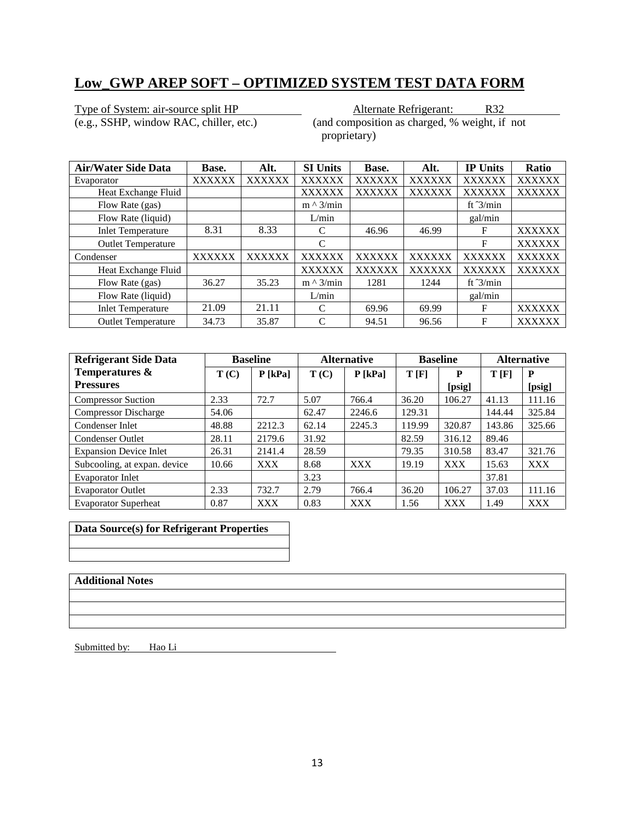Type of System: air-source split HP <br>
(e.g., SSHP, window RAC, chiller, etc.) <br>
(and composition as charged, % weight, if

 $($ and composition as charged,  $%$  weight, if not proprietary)

| <b>Air/Water Side Data</b> | Base.         | Alt.          | <b>SI Units</b>  | Base.         | Alt.          | <b>IP Units</b>    | Ratio         |
|----------------------------|---------------|---------------|------------------|---------------|---------------|--------------------|---------------|
| Evaporator                 | <b>XXXXXX</b> | <b>XXXXXX</b> | <b>XXXXXX</b>    | <b>XXXXXX</b> | <b>XXXXXX</b> | <b>XXXXXX</b>      | <b>XXXXXX</b> |
| Heat Exchange Fluid        |               |               | <b>XXXXXX</b>    | <b>XXXXXX</b> | <b>XXXXXX</b> | <b>XXXXXX</b>      | <b>XXXXXX</b> |
| Flow Rate (gas)            |               |               | $m \wedge 3/min$ |               |               | ft $\frac{3}{min}$ |               |
| Flow Rate (liquid)         |               |               | L/min            |               |               | gal/min            |               |
| <b>Inlet Temperature</b>   | 8.31          | 8.33          | C                | 46.96         | 46.99         | F                  | <b>XXXXXX</b> |
| <b>Outlet Temperature</b>  |               |               | C                |               |               | F                  | <b>XXXXXX</b> |
| Condenser                  | <b>XXXXXX</b> | XXXXXX        | <b>XXXXXX</b>    | <b>XXXXXX</b> | <b>XXXXXX</b> | <b>XXXXXX</b>      | <b>XXXXXX</b> |
| Heat Exchange Fluid        |               |               | <b>XXXXXX</b>    | <b>XXXXXX</b> | <b>XXXXXX</b> | <b>XXXXXX</b>      | <b>XXXXXX</b> |
| Flow Rate (gas)            | 36.27         | 35.23         | $m \wedge 3/min$ | 1281          | 1244          | ft $\frac{3}{min}$ |               |
| Flow Rate (liquid)         |               |               | L/min            |               |               | gal/min            |               |
| <b>Inlet Temperature</b>   | 21.09         | 21.11         | $\mathcal{C}$    | 69.96         | 69.99         | F                  | <b>XXXXXX</b> |
| <b>Outlet Temperature</b>  | 34.73         | 35.87         | C                | 94.51         | 96.56         | F                  | <b>XXXXXX</b> |

| <b>Refrigerant Side Data</b>  |       | <b>Baseline</b> |       | <b>Alternative</b> |        | <b>Baseline</b> | <b>Alternative</b> |            |
|-------------------------------|-------|-----------------|-------|--------------------|--------|-----------------|--------------------|------------|
| Temperatures &                | T(C)  | $P$ [kPa]       | T(C)  | $P$ [kPa]          | T[F]   | P               | T[F]               | P          |
| <b>Pressures</b>              |       |                 |       |                    |        | [psig]          |                    | [psig]     |
| <b>Compressor Suction</b>     | 2.33  | 72.7            | 5.07  | 766.4              | 36.20  | 106.27          | 41.13              | 111.16     |
| <b>Compressor Discharge</b>   | 54.06 |                 | 62.47 | 2246.6             | 129.31 |                 | 144.44             | 325.84     |
| Condenser Inlet               | 48.88 | 2212.3          | 62.14 | 2245.3             | 119.99 | 320.87          | 143.86             | 325.66     |
| <b>Condenser Outlet</b>       | 28.11 | 2179.6          | 31.92 |                    | 82.59  | 316.12          | 89.46              |            |
| <b>Expansion Device Inlet</b> | 26.31 | 2141.4          | 28.59 |                    | 79.35  | 310.58          | 83.47              | 321.76     |
| Subcooling, at expan. device  | 10.66 | <b>XXX</b>      | 8.68  | <b>XXX</b>         | 19.19  | <b>XXX</b>      | 15.63              | <b>XXX</b> |
| <b>Evaporator Inlet</b>       |       |                 | 3.23  |                    |        |                 | 37.81              |            |
| <b>Evaporator Outlet</b>      | 2.33  | 732.7           | 2.79  | 766.4              | 36.20  | 106.27          | 37.03              | 111.16     |
| <b>Evaporator Superheat</b>   | 0.87  | <b>XXX</b>      | 0.83  | <b>XXX</b>         | 1.56   | <b>XXX</b>      | 1.49               | <b>XXX</b> |

**Data Source(s) for Refrigerant Properties**

#### **Additional Notes**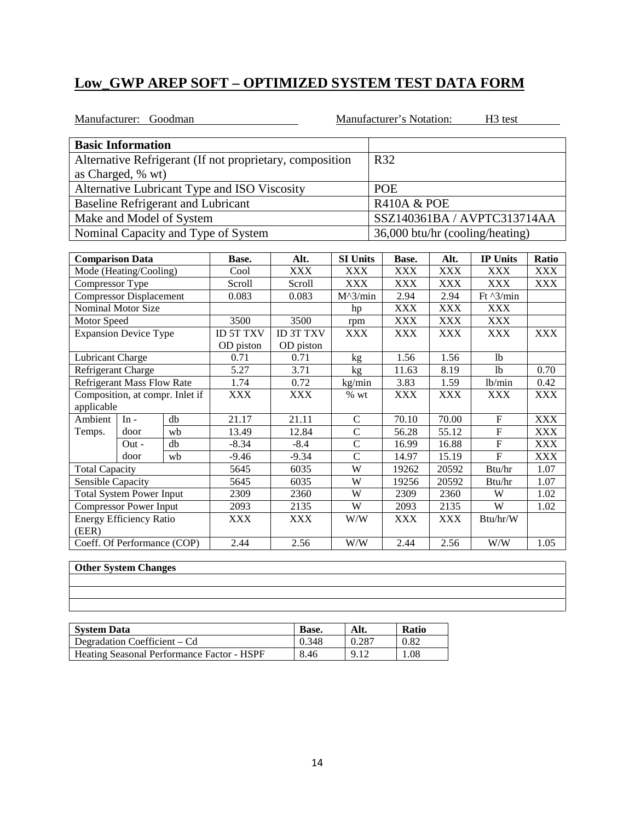|                        | Manufacturer: Goodman             |                                           |                                                          |                   |                   |     | Manufacturer's Notation: |            | H <sub>3</sub> test             |            |
|------------------------|-----------------------------------|-------------------------------------------|----------------------------------------------------------|-------------------|-------------------|-----|--------------------------|------------|---------------------------------|------------|
|                        | <b>Basic Information</b>          |                                           |                                                          |                   |                   |     |                          |            |                                 |            |
|                        |                                   |                                           | Alternative Refrigerant (If not proprietary, composition |                   |                   | R32 |                          |            |                                 |            |
|                        | as Charged, % wt)                 |                                           |                                                          |                   |                   |     |                          |            |                                 |            |
|                        |                                   |                                           | Alternative Lubricant Type and ISO Viscosity             |                   |                   |     | <b>POE</b>               |            |                                 |            |
|                        |                                   | <b>Baseline Refrigerant and Lubricant</b> |                                                          |                   |                   |     | <b>R410A &amp; POE</b>   |            |                                 |            |
|                        |                                   | Make and Model of System                  |                                                          |                   |                   |     |                          |            | SSZ140361BA / AVPTC313714AA     |            |
|                        |                                   |                                           | Nominal Capacity and Type of System                      |                   |                   |     |                          |            | 36,000 btu/hr (cooling/heating) |            |
|                        |                                   |                                           |                                                          |                   |                   |     |                          |            |                                 |            |
| <b>Comparison Data</b> |                                   |                                           | Base.                                                    | Alt.              | <b>SI Units</b>   |     | Base.                    | Alt.       | <b>IP Units</b>                 | Ratio      |
|                        | Mode (Heating/Cooling)            |                                           | Cool                                                     | <b>XXX</b>        | <b>XXX</b>        |     | <b>XXX</b>               | <b>XXX</b> | <b>XXX</b>                      | <b>XXX</b> |
| Compressor Type        |                                   |                                           | Scroll                                                   | Scroll            | <b>XXX</b>        |     | <b>XXX</b>               | <b>XXX</b> | <b>XXX</b>                      | <b>XXX</b> |
|                        | <b>Compressor Displacement</b>    |                                           | 0.083                                                    | 0.083             | $M^{\wedge}3/min$ |     | 2.94                     | 2.94       | Ft ^3/min                       |            |
|                        | <b>Nominal Motor Size</b>         |                                           |                                                          |                   | hp                |     | <b>XXX</b>               | <b>XXX</b> | <b>XXX</b>                      |            |
| Motor Speed            |                                   |                                           | 3500                                                     | $\overline{3500}$ | rpm               |     | <b>XXX</b>               | <b>XXX</b> | <b>XXX</b>                      |            |
|                        | <b>Expansion Device Type</b>      |                                           | <b>ID 5T TXV</b>                                         | <b>ID 3T TXV</b>  | <b>XXX</b>        |     | <b>XXX</b>               | <b>XXX</b> | <b>XXX</b>                      | <b>XXX</b> |
|                        |                                   |                                           | OD piston                                                | OD piston         |                   |     |                          |            |                                 |            |
| Lubricant Charge       |                                   |                                           | 0.71                                                     | 0.71              | kg                |     | 1.56                     | 1.56       | 1 <sub>b</sub>                  |            |
| Refrigerant Charge     |                                   |                                           | $\overline{5.27}$                                        | 3.71              | kg                |     | 11.63                    | 8.19       | 1 <sub>b</sub>                  | 0.70       |
|                        | <b>Refrigerant Mass Flow Rate</b> |                                           | 1.74                                                     | 0.72              | kg/min            |     | 3.83                     | 1.59       | lb/min                          | 0.42       |
|                        |                                   | Composition, at compr. Inlet if           | <b>XXX</b>                                               | <b>XXX</b>        | $%$ wt            |     | <b>XXX</b>               | <b>XXX</b> | <b>XXX</b>                      | <b>XXX</b> |
| applicable             |                                   |                                           |                                                          |                   |                   |     |                          |            |                                 |            |
| Ambient                | $In -$                            | db                                        | 21.17                                                    | 21.11             | $\mathsf{C}$      |     | 70.10                    | 70.00      | $\boldsymbol{\mathrm{F}}$       | <b>XXX</b> |
| Temps.                 | door                              | wh                                        | 13.49                                                    | 12.84             | $\overline{C}$    |     | 56.28                    | 55.12      | $\mathbf{F}$                    | <b>XXX</b> |
|                        | $Out -$                           | db                                        | $-8.34$                                                  | $-8.4$            | $\overline{C}$    |     | 16.99                    | 16.88      | $\boldsymbol{\mathrm{F}}$       | <b>XXX</b> |
|                        | door                              | wb                                        | $-9.46$                                                  | $-9.34$           | $\overline{C}$    |     | 14.97                    | 15.19      | $\overline{F}$                  | <b>XXX</b> |
| <b>Total Capacity</b>  |                                   |                                           | 5645                                                     | 6035              | W                 |     | 19262                    | 20592      | Btu/hr                          | 1.07       |
| Sensible Capacity      |                                   |                                           | 5645                                                     | 6035              | W                 |     | 19256                    | 20592      | Btu/hr                          | 1.07       |
|                        | <b>Total System Power Input</b>   |                                           | 2309                                                     | 2360              | W                 |     | 2309                     | 2360       | W                               | 1.02       |
|                        | <b>Compressor Power Input</b>     |                                           | 2093                                                     | 2135              | W                 |     | 2093                     | 2135       | W                               | 1.02       |
| (EER)                  | <b>Energy Efficiency Ratio</b>    |                                           | <b>XXX</b>                                               | <b>XXX</b>        | W/W               |     | <b>XXX</b>               | <b>XXX</b> | Btu/hr/W                        |            |
|                        | Coeff. Of Performance (COP)       |                                           | 2.44                                                     | 2.56              | $\overline{W/W}$  |     | 2.44                     | 2.56       | $\overline{W/W}$                | 1.05       |

| <u> 1990 - Jan Alexander Alexander (h. 1980).</u><br>1991 - Johann Stein, fransk politik (h. 1980).                    |  |  | the contract of the contract of the contract of the contract of the contract of |
|------------------------------------------------------------------------------------------------------------------------|--|--|---------------------------------------------------------------------------------|
|                                                                                                                        |  |  |                                                                                 |
| <u>. Andre de la componentación de la componentación de la componentación de la componentación de la componentació</u> |  |  |                                                                                 |

| <b>System Data</b>                                | Base. | Alt.  | <b>Ratio</b> |
|---------------------------------------------------|-------|-------|--------------|
| Degradation Coefficient – Cd                      | 0.348 | 0.287 | 0.82         |
| <b>Heating Seasonal Performance Factor - HSPF</b> | 8.46  | 9.12  | 1.08         |